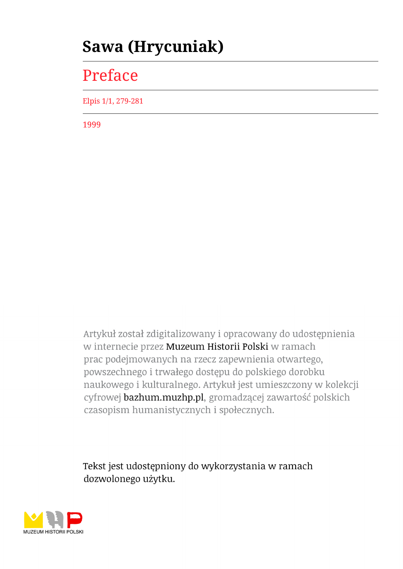## **Sawa (Hrycuniak)**

## Preface

Elpis 1/1, 279-281

1999

Artykuł został zdigitalizowany i opracowany do udostępnienia w internecie przez Muzeum Historii Polski w ramach prac podejmowanych na rzecz zapewnienia otwartego, powszechnego i trwałego dostępu do polskiego dorobku naukowego i kulturalnego. Artykuł jest umieszczony w kolekcji cyfrowej bazhum.muzhp.pl, gromadzącej zawartość polskich czasopism humanistycznych i społecznych.

Tekst jest udostępniony do wykorzystania w ramach dozwolonego użytku.

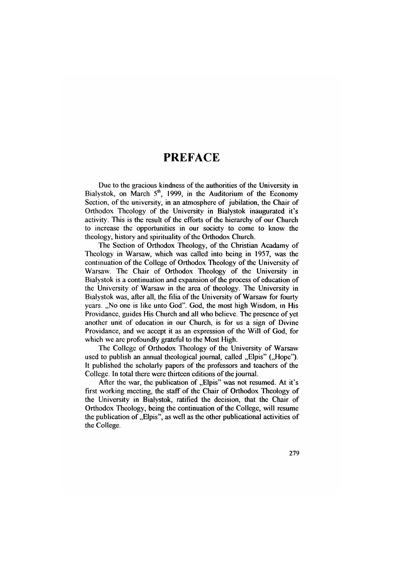## **PREFACE**

Due to the gracious kindness of the authorities of the University in Białystok, on March  $5<sup>th</sup>$ , 1999, in the Auditorium of the Economy Section, of the university, in an atmosphere of jubilation, the Chair of Orthodox Theology of the University in Białystok inaugurated it's activity. This is the result of the efforts of the hierarchy of our Church to increase the opportunities in our society to come to know the theology, history and spirituality of the Orthodox Church.

The Section of Orthodox Theology, of the Christian Acadamy of Theology in Warsaw, which was called into being in 1957, was the continuation of the College of Orthodox Theology of the University of Warsaw. The Chair of Orthodox Theology of the University in Białystok is a continuation and expansion of the process of education of the University of Warsaw in the area of theology. The University in Białystok was, after all, the filia of the University of Warsaw for fourty years. "No one is like unto God". God, the most high Wisdom, in His Providance, guides His Church and all who believe. The presence of yet another unit of education in our Church, is for us a sign of Divine Providance, and we accept it as an expression of the Will of God, for which we are profoundly grateful to the Most High.

The College of Orthodox Theology of the University of Warsaw used to publish an annual theological journal, called "Elpis" ("Hope"). It published the scholarly papers of the professors and teachers of the College. In total there were thirteen editions of the journal.

After the war, the publication of "Elpis" was not resumed. At it's first working meeting, the staff of the Chair of Orthodox Theology of the University in Białystok, ratified the decision, that the Chair of Orthodox Theology, being the continuation of the College, will resume the publication of  $\Box$  Elpis", as well as the other publicational activities of the College.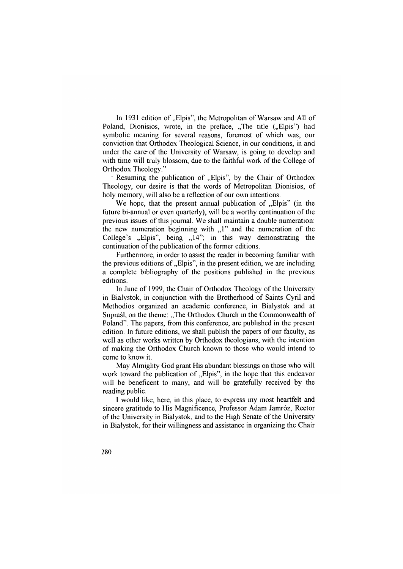In 1931 edition of "Elpis", the Metropolitan of Warsaw and All of Poland, Dionisios, wrote, in the preface, "The title ("Elpis") had symbolic meaning for several reasons, foremost of which was, our conviction that Orthodox Theological Science, in our conditions, in and under the care of the University of Warsaw, is going to develop and with time will truly blossom, due to the faithful work of the College of Orthodox Theology."

 $\cdot$  Resuming the publication of  $\Box$  Elpis", by the Chair of Orthodox Theology, our desire is that the words of Metropolitan Dionisios, of holy memory, will also be a reflection of our own intentions.

We hope, that the present annual publication of  $E$ lpis" (in the future bi-annual or even quarterly), will be a worthy continuation of the previous issues of this journal. We shall maintain a double numeration: the new numeration beginning with  $, 1$ " and the numeration of the College's  $E_{\text{up}}$ Elpis", being  $E_{\text{up}}$  14"; in this way demonstrating the continuation of the publication of the former editions.

Furthermore, in order to assist the reader in becoming familiar with the previous editions of "Elpis", in the present edition, we are including a complete bibliography of the positions published in the previous editions.

In June of 1999, the Chair of Orthodox Theology of the University in Białystok, in conjunction with the Brotherhood of Saints Cyril and Methodios organized an academic conference, in Białystok and at Supraśl, on the theme: "The Orthodox Church in the Commonwealth of Poland". The papers, from this conference, are published in the present edition. In future editions, we shall publish the papers of our faculty, as well as other works written by Orthodox theologians, with the intention of making the Orthodox Church known to those who would intend to come to know it.

May Almighty God grant His abundant blessings on those who will work toward the publication of . Elpis", in the hope that this endeavor will be beneficent to many, and will be gratefully received by the reading public.

I would like, here, in this place, to express my most heartfelt and sincere gratitude to His Magnificence, Professor Adam Jamróz, Rector of the University in Białystok, and to the High Senate of the University in Białystok, for their willingness and assistance in organizing the Chair